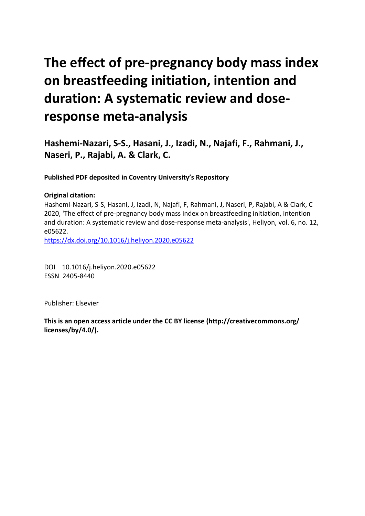# **The effect of pre-pregnancy body mass index on breastfeeding initiation, intention and duration: A systematic review and doseresponse meta-analysis**

**Hashemi-Nazari, S-S., Hasani, J., Izadi, N., Najafi, F., Rahmani, J., Naseri, P., Rajabi, A. & Clark, C.** 

**Published PDF deposited in Coventry University's Repository** 

## **Original citation:**

Hashemi-Nazari, S-S, Hasani, J, Izadi, N, Najafi, F, Rahmani, J, Naseri, P, Rajabi, A & Clark, C 2020, 'The effect of pre-pregnancy body mass index on breastfeeding initiation, intention and duration: A systematic review and dose-response meta-analysis', Heliyon, vol. 6, no. 12, e05622.

https://dx.doi.org/10.1016/j.heliyon.2020.e05622

 DOI 10.1016/j.heliyon.2020.e05622 ESSN 2405-8440

Publisher: Elsevier

**This is an open access article under the CC BY license (http://creativecommons.org/ licenses/by/4.0/).**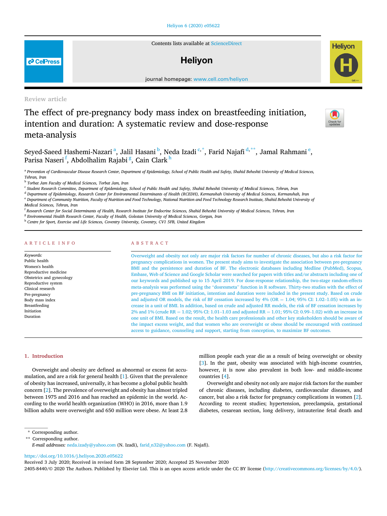#### [Heliyon](https://doi.org/10.1016/j.heliyon.2020.e05622) 6 (2020) e05622

Contents lists available at [ScienceDirect](www.sciencedirect.com/science/journal/24058440)

# **Helivon**

journal home page: www.cell.com/helixon/helixon/helixon/helixon/helixon/helixon/helixon/helixon/helixon/helixon/helixon/helixon/helixon/helixon/helixon/helixon/helixon/helixon/helixon/helixon/helixon/helixon/helixon/helix

Review article

# The effect of pre-pregnancy body mass index on breastfeeding initiation, intention and duration: A systematic review and dose-response meta-analysis

Seyed-S[a](#page-1-0)eed Hashemi-Nazari <sup>a</sup>, Jalil Hasani <sup>[b](#page-1-1)</sup>, Neda Izadi ʿʿ, Farid Najafi <sup>[d,](#page-1-3)[\\*\\*](#page-1-4)</sup>, Jamal Rahmani <sup>[e](#page-1-5)</sup>, Parisa Naseri <sup>[f](#page-1-6)</sup>, Abdolhalim Rajabi <sup>[g](#page-1-7)</sup>, Cain Clark <sup>[h](#page-1-8)</sup>

<span id="page-1-0"></span>a Prevention of Cardiovascular Disease Research Center, Department of Epidemiology, School of Public Health and Safety, Shahid Beheshti University of Medical Sciences, Tehran, Iran

<span id="page-1-1"></span><sup>b</sup> Torbat Jam Faculty of Medical Sciences, Torbat Jam, Iran

<span id="page-1-2"></span><sup>c</sup> Student Research Committee, Department of Epidemiology, School of Public Health and Safety, Shahid Beheshti University of Medical Sciences, Tehran, Iran

<span id="page-1-3"></span><sup>d</sup> Department of Epidemiology, Research Center for Environmental Determinants of Health (RCEDH), Kermanshah University of Medical Sciences, Kermanshah, Iran

<span id="page-1-5"></span>e Department of Community Nutrition, Faculty of Nutrition and Food Technology, National Nutrition and Food Technology Research Institute, Shahid Beheshti University of

<span id="page-1-6"></span><sup>f</sup> Research Center for Social Determinants of Health, Research Institute for Endocrine Sciences, Shahid Beheshti University of Medical Sciences, Tehran, Iran

<span id="page-1-7"></span><sup>g</sup> Environmental Health Research Center, Faculty of Health, Golestan University of Medical Sciences, Gorgan, Iran

<span id="page-1-8"></span>h Centre for Sport, Exercise and Life Sciences, Coventry University, Coventry, CV1 5FB, United Kingdom

#### ARTICLE INFO ABSTRACT

Keywords: Public health Women's health Reproductive medicine Obstetrics and gynecology Reproductive system Clinical research Pre-pregnancy Body mass index Breastfeeding Initiation Duration

Overweight and obesity not only are major risk factors for number of chronic diseases, but also a risk factor for pregnancy complications in women. The present study aims to investigate the association between pre-pregnancy BMI and the persistence and duration of BF. The electronic databases including Medline (PubMed), Scopus, Embase, Web of Science and Google Scholar were searched for papers with titles and/or abstracts including one of our keywords and published up to 15 April 2019. For dose-response relationship, the two-stage random-effects meta-analysis was performed using the "dosresmeta" function in <sup>R</sup> software. Thirty-two studies with the effect of pre-pregnancy BMI on BF initiation, intention and duration were included in the present study. Based on crude and adjusted OR models, the risk of BF cessation increased by  $4\%$  (OR = 1.04; 95% CI: 1.02–1.05) with an increase in a unit of BMI. In addition, based on crude and adjusted RR models, the risk of BF cessation increases by 2% and 1% (crude RR = 1.02; 95% CI: 1.01–1.03 and adjusted RR = 1.01; 95% CI: 0.99–1.02) with an increase in one unit of BMI. Based on the result, the health care professionals and other key stakeholders should be aware of the impact excess weight, and that women who are overweight or obese should be encouraged with continued access to guidance, counseling and support, starting from conception, to maximize BF outcomes.

mulation, and are a risk for general health [\[1\]](#page-7-0). Given that the prevalence countries [\[4\]](#page-7-3). of obesity has increased, universally, it has become a global public health Overweight and obesity not only are major risk factors for the number concern [\[2\]](#page-7-1). The prevalence of overweight and obesity has almost tripled of chronic diseases, including diabetes, cardiovascular diseases, and between 1975 and [2](#page-7-1)016 and has reached an epidemic in the world. Ac- cancer, but also a risk factor for pregnancy complications in women [2]. cording to the world health organization (WHO) in 2016, more than 1.9 According to recent studies; hypertension, preeclampsia, gestational

1. Introduction million people each year die as a result of being overweight or obesity [[3](#page-7-2)]. In the past, obesity was associated with high-income countries, Overweight and obesity are defined as abnormal or excess fat accu- however, it is now also prevalent in both low- and middle-income

billion adults were overweight and 650 million were obese. At least 2.8 diabetes, cesarean section, long delivery, intrauterine fetal death and

<https://doi.org/10.1016/j.heliyon.2020.e05622>

Received 3 July 2020; Received in revised form 28 September 2020; Accepted 25 November 2020

2405-8440/© 2020 The Authors. Published by Elsevier Ltd. This is an open access article under the CC BY license ([http://creativecommons.org/licenses/by/4.0/\)](http://creativecommons.org/licenses/by/4.0/).





### **P** CellPress

Medical Sciences, Tehran, Iran

<sup>\*</sup> Corresponding author.

<span id="page-1-4"></span><sup>\*\*</sup> Corresponding author.

E-mail addresses: [neda.izady@yahoo.com](mailto:neda.izady@yahoo.com) (N. Izadi), [farid\\_n32@yahoo.com](mailto:farid_n32@yahoo.com) (F. Najafi).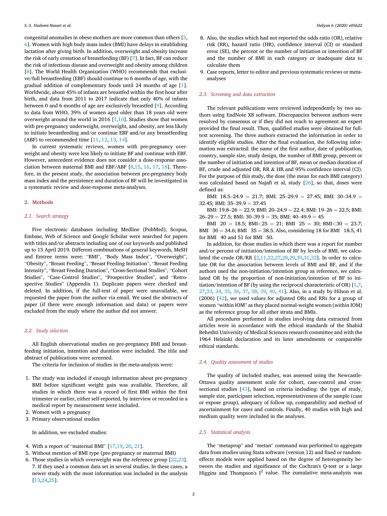congenital anomalies in obese mothers are more common than others [\[5,](#page-7-4) [6](#page-7-5)]. Women with high body mass index (BMI) have delays in establishing lactation after giving birth. In addition, overweight and obesity increase the risk of early cessation of breastfeeding (BF) [\[7\]](#page-7-6). In fact, BF can reduce the risk of infectious disease and overweight and obesity among children [[8](#page-7-7)]. The World Health Organization (WHO) recommends that exclusive/full breastfeeding (EBF) should continue to 6 months of age, with the gradual addition of complementary foods until 24 months of age [[1](#page-7-0)]. Worldwide, about 45% of infants are breastfed within the first hour after birth, and data from 2011 to 2017 indicate that only 40% of infants between 0 and 6 months of age are exclusively breastfed [[9](#page-7-8)]. According to data from WHO, 39% of women aged older than 18 years old were overweight around the world in 2016 [\[1,](#page-7-0)[10\]](#page-7-9). Studies show that women with pre-pregnancy underweight, overweight, and obesity, are less likely to initiate breastfeeding and/or continue EBF and/or any breastfeeding (ABF) to recommended time [[11,](#page-7-10) [12](#page-8-0), [13,](#page-8-1) [14](#page-8-2)].

In current systematic reviews, women with pre-pregnancy overweight and obesity were less likely to initiate BF and continue with EBF. However, antecedent evidence does not consider a dose-response association between maternal BMI and EBF/ABF [[8](#page-7-7)[,15](#page-8-3), [16](#page-8-4), [17,](#page-8-5) [18\]](#page-8-6). Therefore, in the present study, the association between pre-pregnancy body mass index and the persistence and duration of BF will be investigated in a systematic review and dose-response meta-analyses.

#### 2. Methods

#### 2.1. Search strategy

Five electronic databases including Medline (PubMed), Scopus, Embase, Web of Science and Google Scholar were searched for papers with titles and/or abstracts including one of our keywords and published up to 15 April 2019. Different combinations of general keywords, MeSH and Emtree terms were: "BMI", "Body Mass Index", "Overweight", "Obesity", "Breast Feeding", "Breast Feeding Initiation", "Breast Feeding Intensity", "Breast Feeding Duration", "Cross-Sectional Studies", "Cohort Studies", "Case-Control Studies", "Prospective Studies", and "Retrospective Studies" (Appendix 1). Duplicate papers were checked and deleted. In addition, if the full-text of paper were unavailable, we requested the paper from the author via email. We used the abstracts of paper (if there were enough information and data) or papers were excluded from the study where the author did not answer.

#### 2.2. Study selection

All English observational studies on pre-pregnancy BMI and breastfeeding initiation, intention and duration were included. The title and abstract of publications were screened.

The criteria for inclusion of studies in the meta-analysis were:

- 1. The study was included if enough information about pre-pregnancy BMI before significant weight gain was available. Therefore, all studies in which there was a record of first BMI within the first trimester or earlier, either self-reported, by interview or recorded in a medical report by measurement were included.
- 2. Women with a pregnancy
- 3. Primary observational studies

In addition, we excluded studies:

- 4. With <sup>a</sup> report of "maternal BMI" [[17,](#page-8-5)[19,](#page-8-7) [20](#page-8-8), [21\]](#page-8-9).
- 5. Without mention of BMI type (pre-pregnancy or maternal BMI)
- 6. Those studies in which overweight was the reference group [\[22](#page-8-10)[,23](#page-8-11)]. 7. If they used a common data set in several studies. In these cases, a newer study with the most information was included in the analysis [[13,](#page-8-1)[24,](#page-8-12)[25](#page-8-13)].
- 8. Also, the studies which had not reported the odds ratio (OR), relative risk (RR), hazard ratio (HR), confidence interval (CI) or standard error (SE), the percent or the number of initiation or intention of BF and the number of BMI in each category or inadequate data to calculate them
- 9. Case reports, letter to editor and previous systematic reviews or metaanalyses

#### 2.3. Screening and data extraction

The relevant publications were reviewed independently by two authors using EndNote X8 software. Discrepancies between authors were resolved by consensus or if they did not reach to agreement an expert provided the final result. Then, qualified studies were obtained for fulltext screening. The three authors extracted the information in order to identify eligible studies. After the final evaluation, the following information was extracted: the name of the first author, date of publication, country, sample size, study design, the number of BMI group, percent or the number of initiation and intention of BF, mean or median duration of BF, crude and adjusted OR, RR & HR and 95% confidence interval (CI). For the purpose of this study, the dose (the mean for each BMI category) was calculated based on Najafi et al, study [[26\]](#page-8-14), so that, doses were defined as:

BMI:  $18.5-24.9 = 21.7$ ; BMI:  $25-29.9 = 27.45$ ; BMI:  $30-34.9 =$ 32.45; BMI:  $35-39.9 = 37.45$ 

BMI:  $19.8-26 = 22.9$ ; BMI:  $20-24.9 = 22.4$ ; BMI:  $19-26 = 22.5$ ; BMI:  $26-29 = 27.5$ ; BMI:  $30-39.9 = 35$ ; BMI:  $40-49.9 = 45$ 

BMI 20 = 18.5; BMI<25 = 21; BMI 25 = 30; BMI<30 = 23.7; BMI  $30 = 34.6$ ; BMI  $35 = 38.5$ . Also, considering 18 for BMI 18.5, 41 for BMI 40 and 51 for BMI 50.

In addition, for those studies in which there was a report for number and/or percent of initiation/intention of BF by levels of BMI, we calculated the crude OR/RR [\[2,](#page-7-1)[11](#page-7-10)[,22](#page-8-10)[,27](#page-8-15)[,28](#page-8-16)[,29](#page-8-17)[,30](#page-8-18)[,31](#page-8-19),[32\]](#page-8-20). In order to calculate OR for the association between levels of BMI and BF, and if the authors used the non-initiation/intention group as reference, we calculated OR by the proportion of non-initiation/intention of BF to initiation/intention of BF (by using the reciprocal characteristic of OR) [\[1](#page-7-0)[,7,](#page-7-6) [27,](#page-8-15)[33,](#page-8-21) [34](#page-8-22), [35](#page-8-23), [36](#page-8-24), [37](#page-8-25), [38,](#page-8-26) [39,](#page-8-27) [40](#page-8-28), [41](#page-8-29)]. Also, in a study by Hilson et al. (2006) [[42\]](#page-8-30), we used values for adjusted ORs and RRs for a group of women "within IOM" as they placed normal-weight women (within IOM) as the reference group for all other strata and BMIs.

All procedures performed in studies involving data extracted from articles were in accordance with the ethical standards of the Shahid Beheshti University of Medical Sciences research committee and with the 1964 Helsinki declaration and its later amendments or comparable ethical standards.

#### 2.4. Quality assessment of studies

The quality of included studies, was assessed using the Newcastle-Ottawa quality assessment scale for cohort, case-control and crosssectional studies [\[43](#page-8-31)], based on criteria including: the type of study, sample size, participant selection, representativeness of the sample (case or expose group), adequacy of follow up, comparability and method of ascertainment for cases and controls. Finally, 40 studies with high and medium quality were included in the analyses.

#### 2.5. Statistical analysis

The "metaprop" and "metan" command was performed to aggregate data from studies using Stata software (version 12) and fixed or randomeffects models were applied based on the degree of heterogeneity between the studies and significance of the Cochran's Q-test or a large Higgins and Thompson's  $I^2$  value. The cumulative meta-analysis was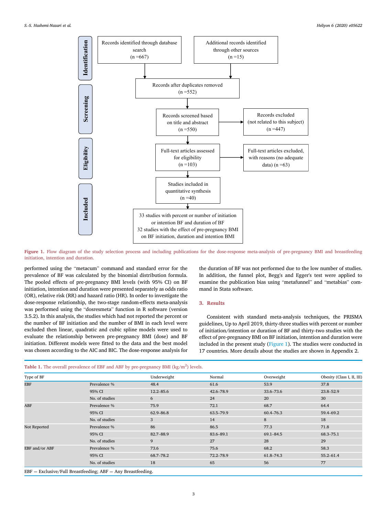<span id="page-3-0"></span>

Figure 1. Flow diagram of the study selection process and including publications for the dose-response meta-analysis of pre-pregnancy BMI and breastfeeding initiation, intention and duration.

performed using the "metacum" command and standard error for the prevalence of BF was calculated by the binomial distribution formula. The pooled effects of pre-pregnancy BMI levels (with 95% CI) on BF initiation, intention and duration were presented separately as odds ratio (OR), relative risk (RR) and hazard ratio (HR). In order to investigate the dose-response relationship, the two-stage random-effects meta-analysis was performed using the "dosresmeta" function in <sup>R</sup> software (version 3.5.2). In this analysis, the studies which had not reported the percent or the number of BF initiation and the number of BMI in each level were excluded then linear, quadratic and cubic spline models were used to evaluate the relationship between pre-pregnancy BMI (dose) and BF initiation. Different models were fitted to the data and the best model was chosen according to the AIC and BIC. The dose-response analysis for the duration of BF was not performed due to the low number of studies. In addition, the funnel plot, Begg's and Egger's test were applied to examine the publication bias using "metafunnel" and "metabias" command in Stata software.

#### 3. Results

Consistent with standard meta-analysis techniques, the PRISMA guidelines, Up to April 2019, thirty-three studies with percent or number of initiation/intention or duration of BF and thirty-two studies with the effect of pre-pregnancy BMI on BF initiation, intention and duration were included in the present study [\(Figure](#page-3-0) 1). The studies were conducted in 17 countries. More details about the studies are shown in Appendix 2.

<span id="page-3-1"></span>

|  | <b>Table 1.</b> The overall prevalence of EBF and ABF by pre-pregnancy BMI $(kg/m2)$ levels. |
|--|----------------------------------------------------------------------------------------------|

| Type of BF                            |                                                                   | Underweight   | Normal        | Overweight    | Obesity (Class I, II, III) |
|---------------------------------------|-------------------------------------------------------------------|---------------|---------------|---------------|----------------------------|
| <b>EBF</b>                            | Prevalence %                                                      | 48.4          | 61.6          | 53.9          | 37.8                       |
|                                       | 95% CI                                                            | $12.2 - 85.6$ | $42.6 - 78.9$ | 33.6–73.6     | 23.8-52.9                  |
|                                       | No. of studies                                                    | 6             | 24            | 20            | 30                         |
|                                       | Prevalence %                                                      | 75.9          | 72.1          | 68.7          | 64.4                       |
|                                       | 95% CI                                                            | 62.9-86.8     | 63.5-79.9     | 60.4-76.3     | 59.4-69.2                  |
|                                       | No. of studies                                                    | 3             | 14            | 8             | 18                         |
| ABF<br>Not Reported<br>EBF and/or ABF | Prevalence %                                                      | 86            | 86.5          | 77.3          | 71.8                       |
|                                       | 95% CI                                                            | 82.7-88.9     | 83.6-89.1     | $69.1 - 84.5$ | 68.3-75.1                  |
|                                       | No. of studies                                                    | 9             | 27            | 28            | 29                         |
|                                       | Prevalence %                                                      | 73.6          | 75.6          | 68.2          | 58.3                       |
|                                       | 95% CI                                                            | 68.7-78.2     | 72.2-78.9     | 61.8-74.3     | $55.2 - 61.4$              |
|                                       | No. of studies                                                    | 18            | 65            | 56            | 77                         |
|                                       | $EBF = Exclusive$ /Full Breastfeeding; $ABF = Any$ Breastfeeding. |               |               |               |                            |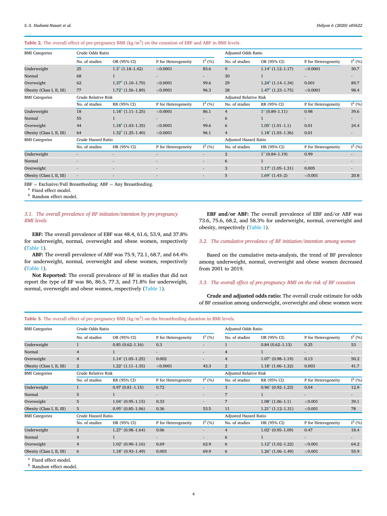#### <span id="page-4-4"></span>Table 2. The overall effect of pre-pregnancy BMI  $(kg/m^2)$  on the cessation of EBF and ABF in BMI levels.

| <b>BMI</b> Categories                                                                      | Crude Odds Ratio    |                                 |                          |                          | Adjusted Odds Ratio           |                            |                          |          |
|--------------------------------------------------------------------------------------------|---------------------|---------------------------------|--------------------------|--------------------------|-------------------------------|----------------------------|--------------------------|----------|
|                                                                                            | No. of studies      | OR (95% CI)                     | P for Heterogeneity      | $I^2(%)$                 | No. of studies                | OR (95% CI)                | P for Heterogeneity      | $I^2(%)$ |
| Underweight                                                                                | 25                  | $1.3b$ (1.18–1.42)              | < 0.0001                 | 83.6                     | 9                             | $1.14a$ (1.12–1.17)        | < 0.0001                 | 30.7     |
| Normal                                                                                     | 68                  |                                 | ٠                        | $\overline{\phantom{0}}$ | 30                            |                            | $\overline{\phantom{a}}$ | ٠        |
| Overweight                                                                                 | 62                  | $1.37b$ (1.10–1.70)             | < 0.0001                 | 99.6                     | 29                            | $1.24^{\circ}$ (1.14–1.34) | 0.001                    | 89.7     |
| Obesity (Class I, II, III)                                                                 | 77                  | $1.72^{\mathrm{b}}$ (1.56–1.89) | < 0.0001                 | 96.3                     | 28                            | $1.47^{\circ}$ (1.23-1.75) | < 0.0001                 | 98.4     |
| <b>BMI</b> Categories<br>Underweight                                                       | Crude Relative Risk |                                 |                          |                          | <b>Adjusted Relative Risk</b> |                            |                          |          |
|                                                                                            | No. of studies      | RR (95% CI)                     | P for Heterogeneity      | $I^2(%)$                 | No. of studies                | RR (95% CI)                | P for Heterogeneity      | $I^2(%)$ |
|                                                                                            | 18                  | $1.18^{\circ}$ (1.11–1.25)      | < 0.0001                 | 86.1                     | $\overline{4}$                | $1^a(0.89-1.11)$           | 0.98                     | 39.6     |
| Normal                                                                                     | 55                  |                                 |                          | ٠                        | 6                             |                            |                          | ٠        |
| Overweight                                                                                 | 44                  | $1.18b$ (1.03–1.35)             | < 0.0001                 | 99.6                     | 6                             | $1.05a$ (1.01–1.1)         | 0.01                     | 24.4     |
| Obesity (Class I, II, III)                                                                 | 64                  | $1.32^{\mathrm{b}}$ (1.25–1.40) | < 0.0001                 | 96.1                     | $\overline{4}$                | $1.18a$ (1.03–1.36)        | 0.01                     | ٠        |
| <b>BMI</b> Categories<br>Underweight<br>Normal<br>Overweight<br>Obesity (Class I, II, III) | Crude Hazard Ratio  |                                 |                          |                          | <b>Adjusted Hazard Ratio</b>  |                            |                          |          |
|                                                                                            | No. of studies      | HR (95% CI)                     | P for Heterogeneity      | $I^2(%)$                 | No. of studies                | HR (95% CI)                | P for Heterogeneity      | $I^2(%)$ |
|                                                                                            |                     |                                 | $\overline{\phantom{a}}$ | ٠                        | $\overline{2}$                | $1^a(0.84-1.19)$           | 0.99                     | ٠        |
|                                                                                            |                     |                                 | $\overline{\phantom{a}}$ | ٠                        | 6                             | $\mathbf{1}$               | $\sim$                   | ۰        |
|                                                                                            |                     |                                 | $\overline{\phantom{a}}$ | ٠                        | 3                             | $1.17a$ (1.05–1.31)        | 0.005                    | ٠        |
|                                                                                            | $\sim$              |                                 | $\overline{\phantom{a}}$ | ٠                        | 5                             | $1.69a$ (1.43–2)           | < 0.001                  | 20.8     |

<span id="page-4-1"></span> $\rm{EBF}=\rm{Exclusive/Full}$  Breastfeeding; ABF  $=$  Any Breastfeeding.  $^{\rm a}$  Fixed effect model.

<span id="page-4-0"></span>**b** Random effect model.

#### 3.1. The overall prevalence of BF initiation/intention by pre-pregnancy BMI levels

EBF: The overall prevalence of EBF was 48.4, 61.6, 53.9, and 37.8% for underweight, normal, overweight and obese women, respectively ([Table](#page-3-1) 1).

ABF: The overall prevalence of ABF was 75.9, 72.1, 68.7, and 64.4% for underweight, normal, overweight and obese women, respectively ([Table](#page-3-1) 1).

Not Reported: The overall prevalence of BF in studies that did not report the type of BF was 86, 86.5, 77.3, and 71.8% for underweight, normal, overweight and obese women, respectively [\(Table](#page-3-1) 1).

EBF and/or ABF: The overall prevalence of EBF and/or ABF was 73.6, 75.6, 68.2, and 58.3% for underweight, normal, overweight and obesity, respectively [\(Table](#page-3-1) 1).

### 3.2. The cumulative prevalence of BF initiation/intention among women

Based on the cumulative meta-analysis, the trend of BF prevalence among underweight, normal, overweight and obese women decreased from 2001 to 2019.

### 3.3. The overall effect of pre-pregnancy BMI on the risk of BF cessation

Crude and adjusted odds ratio: The overall crude estimate for odds of BF cessation among underweight, overweight and obese women were

#### <span id="page-4-5"></span>Table 3. The overall effect of pre-pregnancy BMI  $(kg/m^2)$  on the breastfeeding duration in BMI levels.

| <b>BMI</b> Categories                                                                                                        | Crude Odds Ratio    |                            |                          |                          | Adjusted Odds Ratio           |                            |                          |           |
|------------------------------------------------------------------------------------------------------------------------------|---------------------|----------------------------|--------------------------|--------------------------|-------------------------------|----------------------------|--------------------------|-----------|
|                                                                                                                              | No. of studies      | OR (95% CI)                | P for Heterogeneity      | $I^2(%)$                 | No. of studies                | OR (95% CI)                | P for Heterogeneity      | $I^2$ (%) |
| Underweight                                                                                                                  |                     | $0.85(0.62 - 1.16)$        | 0.3                      |                          | $\mathbf{1}$                  | $0.84(0.62 - 1.13)$        | 0.25                     | 53        |
|                                                                                                                              | $\overline{4}$      |                            | $\sim$                   | ۰                        | $\overline{4}$                | $\mathbf{1}$               |                          |           |
|                                                                                                                              | $\overline{4}$      | $1.14^a(1.05-1.25)$        | 0.002                    | $\overline{a}$           | $\overline{4}$                | $1.07a$ (0.98–1.19)        | 0.13                     | 50.2      |
| Obesity (Class I, II, III)                                                                                                   | $\overline{2}$      | $1.22a$ (1.11–1.35)        | < 0.0001                 | 43.3                     | $\overline{2}$                | $1.18a$ (1.06–1.32)        | 0.003                    | 41.7      |
| <b>BMI</b> Categories                                                                                                        | Crude Relative Risk |                            |                          |                          | <b>Adjusted Relative Risk</b> |                            |                          |           |
|                                                                                                                              | No. of studies      | RR (95% CI)                | P for Heterogeneity      | $I^2(%)$                 | No. of studies                | RR (95% CI)                | P for Heterogeneity      | $I^2(%$   |
| Underweight                                                                                                                  | $\mathbf{1}$        | $0.97(0.81 - 1.15)$        | 0.72                     |                          | 3                             | $0.96a$ (0.92-1.23)        | 0.04                     | 12.9      |
|                                                                                                                              | 5                   | $\mathbf{1}$               | $\overline{\phantom{a}}$ | ٠                        | 7                             | $\mathbf{1}$               | $\overline{\phantom{a}}$ |           |
| Overweight                                                                                                                   | 5                   | $1.04a$ (0.95–1.15)        | 0.33                     | $\overline{\phantom{a}}$ | $7\overline{ }$               | $1.08a$ (1.06–1.1)         | < 0.001                  | 39.1      |
| Obesity (Class I, II, III)                                                                                                   | 5                   | $0.95^a(0.85-1.06)$        | 0.36                     | 53.5                     | 11                            | $1.21^{\circ}$ (1.12–1.31) | $<$ 0.001                | 78        |
| Normal<br>Overweight<br>Normal<br><b>BMI</b> Categories<br>Underweight<br>Normal<br>Overweight<br>Obesity (Class I, II, III) | Crude Hazard Ratio  |                            |                          | Adjusted Hazard Ratio    |                               |                            |                          |           |
|                                                                                                                              | No. of studies      | HR (95% CI)                | P for Heterogeneity      | $I^2(% )$                | No. of studies                | HR (95% CI)                | P for Heterogeneity      | $I^2(%$   |
|                                                                                                                              | $\overline{2}$      | $1.27a$ (0.98–1.64)        | 0.06                     | ٠                        | $\overline{4}$                | $1.02^a (0.95 - 1.09)$     | 0.47                     | 18.4      |
|                                                                                                                              | $\overline{4}$      | $\mathbf{1}$               | $\overline{\phantom{a}}$ | $\overline{a}$           | 6                             | $\mathbf{1}$               |                          |           |
|                                                                                                                              | $\overline{4}$      | $1.02^a(0.90-1.16)$        | 0.69                     | 62.9                     | 6                             | $1.12^{\circ}$ (1.02–1.22) | < 0.001                  | 64.2      |
|                                                                                                                              | 6                   | $1.18^{\circ}$ (0.93-1.49) | 0.003                    | 69.9                     | 6                             | $1.26^{\circ}$ (1.06–1.49) | < 0.001                  | 55.9      |
| <sup>a</sup> Fixed effect model.                                                                                             |                     |                            |                          |                          |                               |                            |                          |           |

<span id="page-4-3"></span><span id="page-4-2"></span>**b** Random effect model.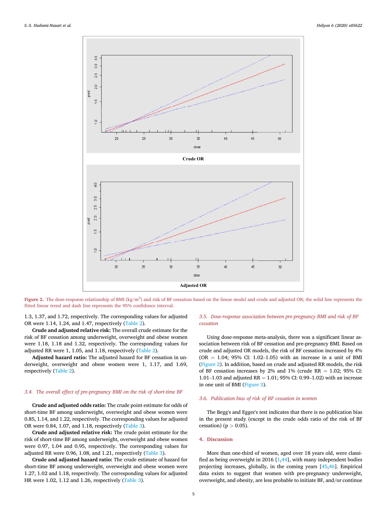<span id="page-5-0"></span>

Figure 2. The dose-response relationship of BMI ( $kg/m<sup>2</sup>$ ) and risk of BF cessation based on the linear model and crude and adjusted OR; the solid line represents the fitted linear trend and dash line represents the 95% confidence interval.

1.3, 1.37, and 1.72, respectively. The corresponding values for adjusted OR were 1.14, 1.24, and 1.47, respectively ([Table](#page-4-4) 2).

Crude and adjusted relative risk: The overall crude estimate for the risk of BF cessation among underweight, overweight and obese women were 1.18, 1.18 and 1.32, respectively. The corresponding values for adjusted RR were 1, 1.05, and 1.18, respectively ([Table](#page-4-4) 2).

Adjusted hazard ratio: The adjusted hazard for BF cessation in underweight, overweight and obese women were 1, 1.17, and 1.69, respectively ([Table](#page-4-4) 2).

#### 3.4. The overall effect of pre-pregnancy BMI on the risk of short-time BF

Crude and adjusted odds ratio: The crude point estimate for odds of short-time BF among underweight, overweight and obese women were 0.85, 1.14, and 1.22, respectively. The corresponding values for adjusted OR were 0.84, 1.07, and 1.18, respectively ([Table](#page-4-5) 3).

Crude and adjusted relative risk: The crude point estimate for the risk of short-time BF among underweight, overweight and obese women were 0.97, 1.04 and 0.95, respectively. The corresponding values for adjusted RR were 0.96, 1.08, and 1.21, respectively [\(Table](#page-4-5) 3).

Crude and adjusted hazard ratio: The crude estimate of hazard for short-time BF among underweight, overweight and obese women were 1.27, 1.02 and 1.18, respectively. The corresponding values for adjusted HR were 1.02, 1.12 and 1.26, respectively ([Table](#page-4-5) 3).

#### 3.5. Dose-response association between pre-pregnancy BMI and risk of BF cessation

Using dose-response meta-analysis, there was a significant linear association between risk of BF cessation and pre-pregnancy BMI. Based on crude and adjusted OR models, the risk of BF cessation increased by 4%  $(OR = 1.04; 95\% CI: 1.02–1.05)$  with an increase in a unit of BMI ([Figure](#page-5-0) 2). In addition, based on crude and adjusted RR models, the risk of BF cessation increases by 2% and 1% (crude  $RR = 1.02$ ; 95% CI: 1.01–1.03 and adjusted RR = 1.01; 95% CI: 0.99–1.02) with an increase in one unit of BMI [\(Figure](#page-6-0) 3).

#### 3.6. Publication bias of risk of BF cessation in women

The Begg's and Egger's test indicates that there is no publication bias in the present study (except in the crude odds ratio of the risk of BF cessation) ( $p > 0.05$ ).

#### 4. Discussion

More than one-third of women, aged over 18 years old, were classified as being overweight in 2016 [[1](#page-7-0)[,44](#page-8-32)], with many independent bodies projecting increases, globally, in the coming years [\[45](#page-8-33)[,46](#page-8-34)]. Empirical data exists to suggest that women with pre-pregnancy underweight, overweight, and obesity, are less probable to initiate BF, and/or continue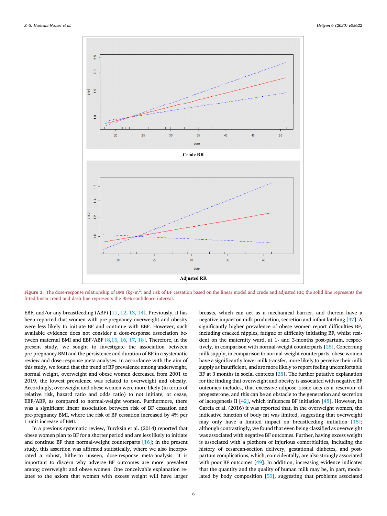<span id="page-6-0"></span>

Figure 3. The dose-response relationship of BMI ( $kg/m<sup>2</sup>$ ) and risk of BF cessation based on the linear model and crude and adjusted RR; the solid line represents the fitted linear trend and dash line represents the 95% confidence interval.

EBF, and/or any breastfeeding (ABF) [\[11,](#page-7-10) [12](#page-8-0), [13,](#page-8-1) [14](#page-8-2)]. Previously, it has been reported that women with pre-pregnancy overweight and obesity were less likely to initiate BF and continue with EBF. However, such available evidence does not consider a dose-response association between maternal BMI and EBF/ABF [[8](#page-7-7),[15,](#page-8-3) [16](#page-8-4), [17,](#page-8-5) [18](#page-8-6)]. Therefore, in the present study, we sought to investigate the association between pre-pregnancy BMI and the persistence and duration of BF in a systematic review and dose-response meta-analyses. In accordance with the aim of this study, we found that the trend of BF prevalence among underweight, normal weight, overweight and obese women decreased from 2001 to 2019, the lowest prevalence was related to overweight and obesity. Accordingly, overweight and obese women were more likely (in terms of relative risk, hazard ratio and odds ratio) to not initiate, or cease, EBF/ABF, as compared to normal-weight women. Furthermore, there was a significant linear association between risk of BF cessation and pre-pregnancy BMI, where the risk of BF cessation increased by 4% per 1-unit increase of BMI.

In a previous systematic review, Turcksin et al. (2014) reported that obese women plan to BF for a shorter period and are less likely to initiate and continue BF than normal-weight counterparts [[16\]](#page-8-4); in the present study, this assertion was affirmed statistically, where we also incorporated a robust, hitherto unseen, dose-response meta-analysis. It is important to discern why adverse BF outcomes are more prevalent among overweight and obese women. One conceivable explanation relates to the axiom that women with excess weight will have larger

breasts, which can act as a mechanical barrier, and therein have a negative impact on milk production, secretion and infant latching [\[47](#page-8-35)]. A significantly higher prevalence of obese women report difficulties BF, including cracked nipples, fatigue or difficulty initiating BF, whilst resident on the maternity ward, at 1- and 3-months post-partum, respectively, in comparison with normal-weight counterparts [\[28](#page-8-16)]. Concerning milk supply, in comparison to normal-weight counterparts, obese women have a significantly lower milk transfer, more likely to perceive their milk supply as insufficient, and are more likely to report feeling uncomfortable BF at 3 months in social contexts [\[28](#page-8-16)]. The further putative explanation for the finding that overweight and obesity is associated with negative BF outcomes includes, that excessive adipose tissue acts as a reservoir of progesterone, and this can be an obstacle to the generation and secretion of lactogenesis II [\[42\]](#page-8-30), which influences BF initiation [\[48](#page-8-36)]. However, in Garcia et al. (2016) it was reported that, in the overweight women, the indicative function of body fat was limited, suggesting that overweight may only have a limited impact on breastfeeding initiation [\[15](#page-8-3)]; although contrastingly, we found that even being classified as overweight was associated with negative BF outcomes. Further, having excess weight is associated with a plethora of injurious comorbidities, including the history of cesarean-section delivery, gestational diabetes, and postpartum complications, which, coincidentally, are also strongly associated with poor BF outcomes [\[49](#page-8-37)]. In addition, increasing evidence indicates that the quantity and the quality of human milk may be, in part, modulated by body composition [\[50](#page-8-38)], suggesting that problems associated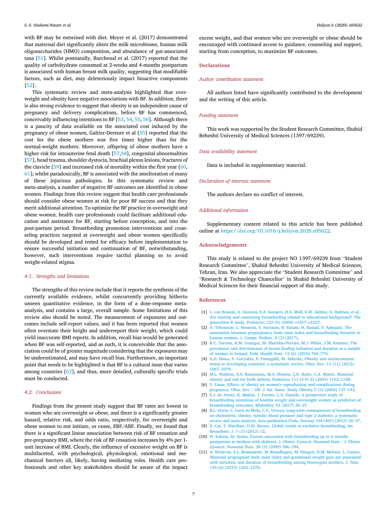S.-S. Hashemi-Nazari et al. Heliyon 6 (2020) e05622

with BF may be entwined with diet. Meyer et al. (2017) demonstrated that maternal diet significantly alters the milk microbiome, human milk oligosaccharides (HMO) composition, and abundance of gut-associated taxa [\[51](#page-8-39)]. Whilst postnatally, Burchenal et al. (2017) reported that the quality of carbohydrate consumed at 2-weeks and 4-months postpartum is associated with human breast milk quality, suggesting that modifiable factors, such as diet, may deleteriously impact bioactive components [[52\]](#page-8-40).

This systematic review and meta-analysis highlighted that overweight and obesity have negative associations with BF. In addition, there is also strong evidence to suggest that obesity is an independent cause of pregnancy and delivery complications, before BF has commenced, conceivably influencing intentions to BF [\[53](#page-8-41), [54](#page-8-42), [55](#page-8-43), [56](#page-8-44)]. Although there is a paucity of data available on the associated cost induced by the pregnancy of obese women, Galtier-Dereure et al [[55\]](#page-8-43) reported that the cost for the obese mothers was five times higher than for the normal-weight mothers. Moreover, offspring of obese mothers have a higher risk for intrauterine fetal death [\[57](#page-8-45)[,58](#page-8-46)], congenital abnormalities [[57\]](#page-8-45), head trauma, shoulder dystocia, brachial plexus lesions, fractures of the clavicle [\[59](#page-8-47)] and increased risk of mortality within the first year [[60,](#page-8-48) [61\]](#page-8-49); whilst paradoxically, BF is associated with the amelioration of many of these injurious pathologies. In this systematic review and meta-analysis, a number of negative BF outcomes are identified in obese women. Findings from this review suggest that health care professionals should consider obese women at risk for poor BF success and that they merit additional attention. To optimize the BF practice in overweight and obese women, health care professionals could facilitate additional education and assistance for BF, starting before conception, and into the post-partum period. Breastfeeding promotion interventions and counseling practices targeted at overweight and obese women specifically should be developed and tested for efficacy before implementation to ensure successful initiation and continuation of BF, notwithstanding, however, such interventions require tactful planning so to avoid weight-related stigma.

#### 4.1. Strengths and limitations

The strengths of this review include that it reports the synthesis of the currently available evidence, whilst concurrently providing hitherto unseen quantitative evidence, in the form of a dose-response metaanalysis, and contains a large, overall sample. Some limitations of this review also should be noted. The measurement of exposures and outcomes include self-report values, and it has been reported that women often overstate their height and underreport their weight, which could yield inaccurate BMI reports. In addition, recall bias would be generated when BF was self-reported, and as such, it is conceivable that the association could be of greater magnitude considering that the exposures may be underestimated, and may have recall bias. Furthermore, an important point that needs to be highlighted is that BF is a cultural issue that varies among countries [[62\]](#page-8-50), and thus, more detailed, culturally specific trials must be conducted.

#### 4.2. Conclusions

Findings from the present study suggest that BF rates are lowest in women who are overweight or obese, and there is a significantly greater hazard, relative risk, and odds ratio, respectively, for overweight and obese women to not initiate, or cease, EBF/ABF. Finally, we found that there is a significant linear association between risk of BF cessation and pre-pregnancy BMI, where the risk of BF cessation increases by 4% per 1 unit increase of BMI. Clearly, the influence of excessive weight on BF is multifaceted, with psychological, physiological, emotional and mechanical barriers all, likely, having mediating roles. Health care professionals and other key stakeholders should be aware of the impact excess weight, and that women who are overweight or obese should be encouraged with continued access to guidance, counseling and support, starting from conception, to maximize BF outcomes.

#### **Declarations**

#### Author contribution statement

All authors listed have significantly contributed to the development and the writing of this article.

#### Funding statement

This work was supported by the Student Research Committee, Shahid Beheshti University of Medical Sciences (1397/69239).

#### Data availability statement

Data is included in supplementary material.

#### Declaration of interests statement

The authors declare no conflict of interest.

#### Additional information

Supplementary content related to this article has been published online at [https://doi.org/10.1016/j.heliyon.2020.e05622.](https://doi.org/10.1016/j.heliyon.2020.e05622)

#### Acknowledgements

This study is related to the project NO 1397/69239 from "Student Research Committee", Shahid Beheshti University of Medical Sciences, Tehran, Iran. We also appreciate the "Student Research Committee" and "Research & Technology Chancellor" in Shahid Beheshti University of Medical Sciences for their financial support of this study.

#### <span id="page-7-0"></span>References

- <span id="page-7-1"></span>[1] L. van Rossem, A. Oenema, E.A. [Steegers,](http://refhub.elsevier.com/S2405-8440(20)32465-8/sref1) H.A. Moll, V.W. Jaddoe, A. Hofman, et al., Are starting and continuing [breastfeeding](http://refhub.elsevier.com/S2405-8440(20)32465-8/sref1) related to educational background? The [generation](http://refhub.elsevier.com/S2405-8440(20)32465-8/sref1) <sup>R</sup> study, Pediatrics <sup>123</sup> (6) (2009) e1017–[e1027.](http://refhub.elsevier.com/S2405-8440(20)32465-8/sref1)
- <span id="page-7-2"></span>[2] A. [Tehranian,](http://refhub.elsevier.com/S2405-8440(20)32465-8/sref2) L. Hosseini, S. Nariman, B. Eslami, H. Rastad, F. Aghajani, The association between [prepregnancy](http://refhub.elsevier.com/S2405-8440(20)32465-8/sref2) body mass index and breastfeeding duration in Iranian [women,](http://refhub.elsevier.com/S2405-8440(20)32465-8/sref2) J. Compr. Pediatr. 8 (3) (2017).
- <span id="page-7-3"></span>[3] R.C. Tarrant, K.M. Younger, M. [Sheridan-Pereira,](http://refhub.elsevier.com/S2405-8440(20)32465-8/sref3) M.J. White, J.M. Kearney, The prevalence and determinants of [breast-feeding](http://refhub.elsevier.com/S2405-8440(20)32465-8/sref3) initiation and duration in a sample of women in [Ireland,](http://refhub.elsevier.com/S2405-8440(20)32465-8/sref3) Publ. Health Nutr. <sup>13</sup> (6) (2010) <sup>760</sup>–[770](http://refhub.elsevier.com/S2405-8440(20)32465-8/sref3).
- <span id="page-7-4"></span>[4] G.D. Dinsa, Y. Goryakin, E. Fumagalli, M. Suhrcke, Obesity and [socioeconomic](http://refhub.elsevier.com/S2405-8440(20)32465-8/sref4) status in [developing](http://refhub.elsevier.com/S2405-8440(20)32465-8/sref4) countries: a systematic review, Obes. Rev. 13 (11) (2012) [1067](http://refhub.elsevier.com/S2405-8440(20)32465-8/sref4)–[1079.](http://refhub.elsevier.com/S2405-8440(20)32465-8/sref4)
- <span id="page-7-5"></span>[5] M.L. Watkins, S.A. [Rasmussen,](http://refhub.elsevier.com/S2405-8440(20)32465-8/sref5) M.A. Honein, L.D. Botto, C.A. Moore, Maternal obesity and risk for birth defects, [Pediatrics](http://refhub.elsevier.com/S2405-8440(20)32465-8/sref5) <sup>111</sup> (5 Pt 2) (2003) <sup>1152</sup>–[1158.](http://refhub.elsevier.com/S2405-8440(20)32465-8/sref5)
- <span id="page-7-6"></span>[6] Y. Linne, Effects of obesity on women's reproduction and [complications](http://refhub.elsevier.com/S2405-8440(20)32465-8/sref6) during [pregnancy,](http://refhub.elsevier.com/S2405-8440(20)32465-8/sref6) Obes. Rev. : Off. J. Int. Assoc. Study Obesity <sup>5</sup> (3) (2004) <sup>137</sup>–[143.](http://refhub.elsevier.com/S2405-8440(20)32465-8/sref6)
- <span id="page-7-7"></span>[7] S.J. de Jersey, K. Mallan, J. Forster, L.A. Daniels, A [prospective](http://refhub.elsevier.com/S2405-8440(20)32465-8/sref7) study of [breastfeeding](http://refhub.elsevier.com/S2405-8440(20)32465-8/sref7) intentions of healthy weight and overweight women as predictors of [breastfeeding](http://refhub.elsevier.com/S2405-8440(20)32465-8/sref7) outcomes, Midwifery <sup>53</sup> (2017) <sup>20</sup>–[27](http://refhub.elsevier.com/S2405-8440(20)32465-8/sref7).
- <span id="page-7-8"></span>[8] B.L. Horta, C. Loret de Mola, C.G. Victora, Long-term [consequences](http://refhub.elsevier.com/S2405-8440(20)32465-8/sref8) of breastfeeding on [cholesterol,](http://refhub.elsevier.com/S2405-8440(20)32465-8/sref8) obesity, systolic blood pressure and type 2 diabetes: a systematic review and [meta-analysis,](http://refhub.elsevier.com/S2405-8440(20)32465-8/sref8) Acta paediatrica (Oslo, Norway <sup>104</sup> (467) (2015) <sup>30</sup>–[37.](http://refhub.elsevier.com/S2405-8440(20)32465-8/sref8)
- <span id="page-7-9"></span>[9] X. Cai, T. Wardlaw, D.W. Brown, Global trends in exclusive [breastfeeding,](http://refhub.elsevier.com/S2405-8440(20)32465-8/sref9) Int. [Breastfeed.](http://refhub.elsevier.com/S2405-8440(20)32465-8/sref9) J. 7 (1) (2012) 12.
- <span id="page-7-10"></span>[10] H. Soltani, M. Arden, Factors associated with [breastfeeding](http://refhub.elsevier.com/S2405-8440(20)32465-8/sref10) up to 6 months [postpartum](http://refhub.elsevier.com/S2405-8440(20)32465-8/sref10) in mothers with diabetes, J. Obstet. Gynecol. Neonatal Nurs. : J. Obstet. Gynecol. [Neonatal](http://refhub.elsevier.com/S2405-8440(20)32465-8/sref10) Nurs. <sup>38</sup> (5) (2009) <sup>586</sup>–[594.](http://refhub.elsevier.com/S2405-8440(20)32465-8/sref10)
- [11] A. Winkvist, A.L. Brantsaeter, M. [Brandhagen,](http://refhub.elsevier.com/S2405-8440(20)32465-8/sref11) M. Haugen, H.M. Meltzer, L. Lissner, Maternal [prepregnant](http://refhub.elsevier.com/S2405-8440(20)32465-8/sref11) body mass index and gestational weight gain are associated with initiation and duration of [breastfeeding](http://refhub.elsevier.com/S2405-8440(20)32465-8/sref11) among Norwegian mothers, J. Nutr. <sup>145</sup> (6) [\(2015\)](http://refhub.elsevier.com/S2405-8440(20)32465-8/sref11) <sup>1263</sup>–[1270.](http://refhub.elsevier.com/S2405-8440(20)32465-8/sref11)